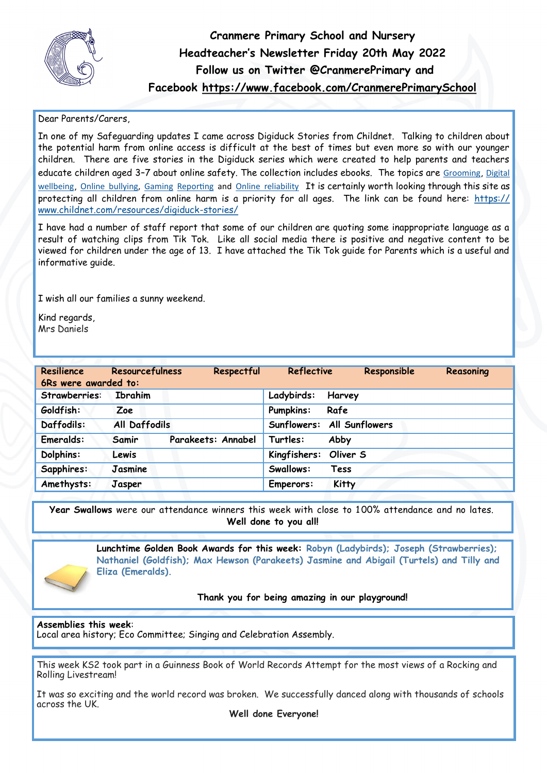

**Cranmere Primary School and Nursery Headteacher's Newsletter Friday 20th May 2022 Follow us on Twitter @CranmerePrimary and Facebook<https://www.facebook.com/CranmerePrimarySchool>**

## Dear Parents/Carers,

In one of my Safeguarding updates I came across Digiduck Stories from Childnet. Talking to children about the potential harm from online access is difficult at the best of times but even more so with our younger children. There are five stories in the Digiduck series which were created to help parents and teachers educate children aged 3-7 about online safety. The collection includes ebooks. The topics are [Grooming](https://www.childnet.com/resources/?topic=grooming), Digital [wellbeing](https://www.childnet.com/resources/?topic=digital-wellbeing), [Online bullying,](https://www.childnet.com/resources/?topic=online-bullying) [Gaming](https://www.childnet.com/resources/?topic=gaming) [Reporting](https://www.childnet.com/resources/?topic=reporting) and [Online reliability](https://www.childnet.com/resources/?topic=online-reliability) It is certainly worth looking through this site as protecting all children from online harm is a priority for all ages. The link can be found here: [https://](https://email.kjbm.safeguardinginschools.co.uk/c/eJyFkMFuwyAQRL8mXKpYgE1cDhxatZV67gdYmF3bG9tgAW6Uvy9Jc-it0h5GI-3O27Hb1nm7opnt2fZ0TDlEHGLwOR23GGB3mYJnuFpaOgIjRaOFkm3D2WR0jyAbRDlogcBB1rUUArQYrOjRKpYo42OrVYI_K8kWM-W8pUP9cpAfZS6XS-UmWsBjrlxYixUxhT06TEUDjVQg5jsY3S) [www.childnet.com/resources/digiduck](https://email.kjbm.safeguardinginschools.co.uk/c/eJyFkMFuwyAQRL8mXKpYgE1cDhxatZV67gdYmF3bG9tgAW6Uvy9Jc-it0h5GI-3O27Hb1nm7opnt2fZ0TDlEHGLwOR23GGB3mYJnuFpaOgIjRaOFkm3D2WR0jyAbRDlogcBB1rUUArQYrOjRKpYo42OrVYI_K8kWM-W8pUP9cpAfZS6XS-UmWsBjrlxYixUxhT06TEUDjVQg5jsY3S)-stories/

I have had a number of staff report that some of our children are quoting some inappropriate language as a result of watching clips from Tik Tok. Like all social media there is positive and negative content to be viewed for children under the age of 13. I have attached the Tik Tok guide for Parents which is a useful and informative guide.

I wish all our families a sunny weekend.

Kind regards, Mrs Daniels

| Resilience<br>6Rs were awarded to: | <b>Resourcefulness</b> | Respectful         | <b>Reflective</b>          |          | Responsible | Reasoning |
|------------------------------------|------------------------|--------------------|----------------------------|----------|-------------|-----------|
| Strawberries:                      | <b>Ibrahim</b>         |                    | Ladybirds:                 | Harvey   |             |           |
| Goldfish:                          | Zoe                    |                    | <b>Pumpkins:</b>           | Rafe     |             |           |
| Daffodils:                         | <b>All Daffodils</b>   |                    | Sunflowers: All Sunflowers |          |             |           |
| Emeralds:                          | Samir                  | Parakeets: Annabel | Turtles:                   | Abby     |             |           |
| Dolphins:                          | Lewis                  |                    | Kingfishers:               | Oliver S |             |           |
| Sapphires:                         | Jasmine                |                    | Swallows:                  | Tess     |             |           |
| Amethysts:                         | Jasper                 |                    | Emperors:                  | Kitty    |             |           |

**Year Swallows** were our attendance winners this week with close to 1 00% attendance and no lates. **Well done to you all!** 

> **Lunchtime Golden Book Awards for this week: Robyn (Ladybirds); Joseph (Strawberries); Nathaniel (Goldfish); Max Hewson (Parakeets) Jasmine and Abigail (Turtels) and Tilly and Eliza (Emeralds).**

> > **Thank you for being amazing in our playground!**

## **Assemblies this week**:

Local area history; Eco Committee; Singing and Celebration Assembly.

This week KS2 took part in a Guinness Book of World Records Attempt for the most views of a Rocking and Rolling Livestream!

It was so exciting and the world record was broken. We successfully danced along with thousands of schools across the UK.

**Well done Everyone!**